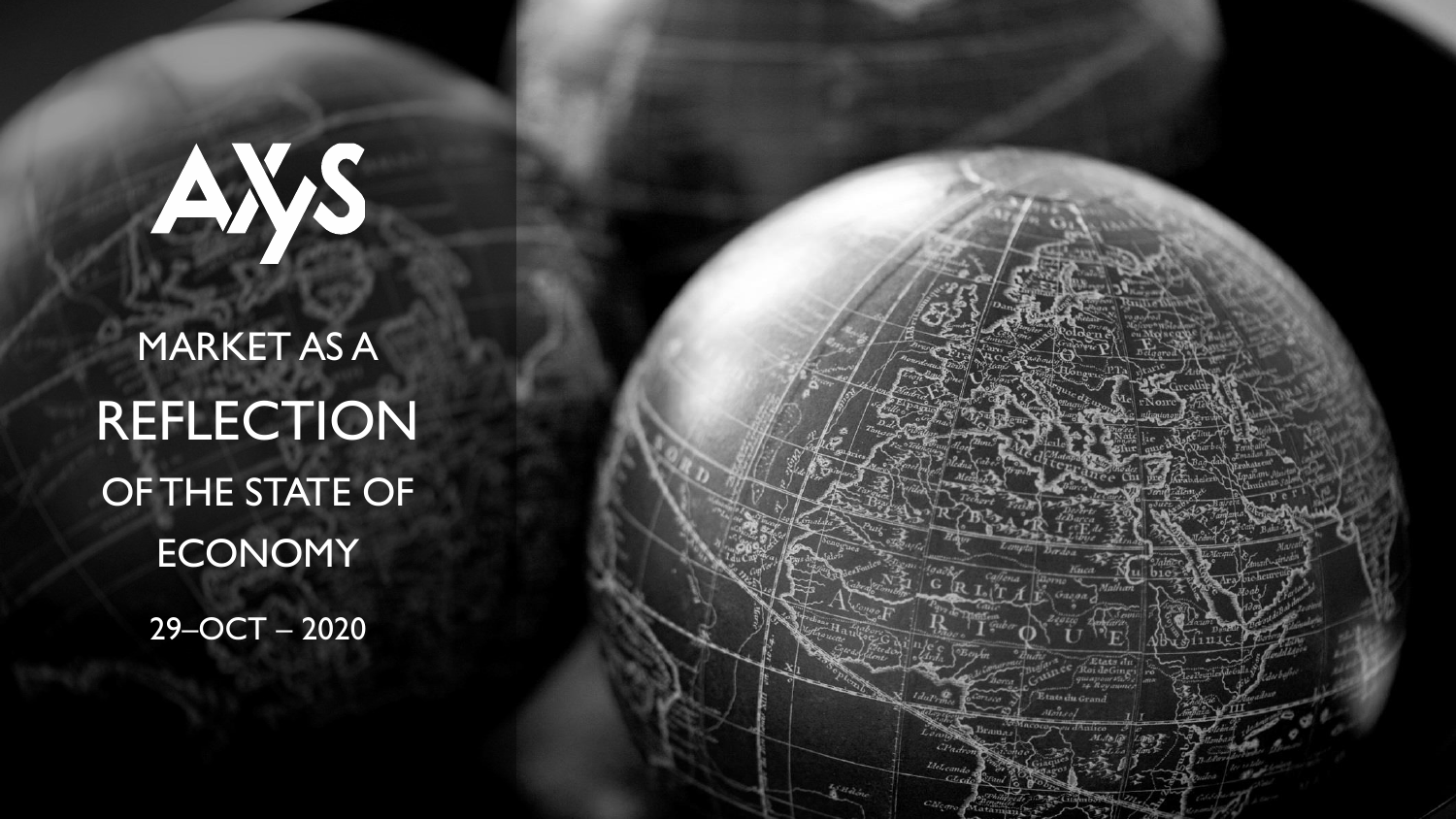# AYS

MARKET AS A **REFLECTION** OF THE STATE OF **ECONOMY** 

29–OCT – 2020

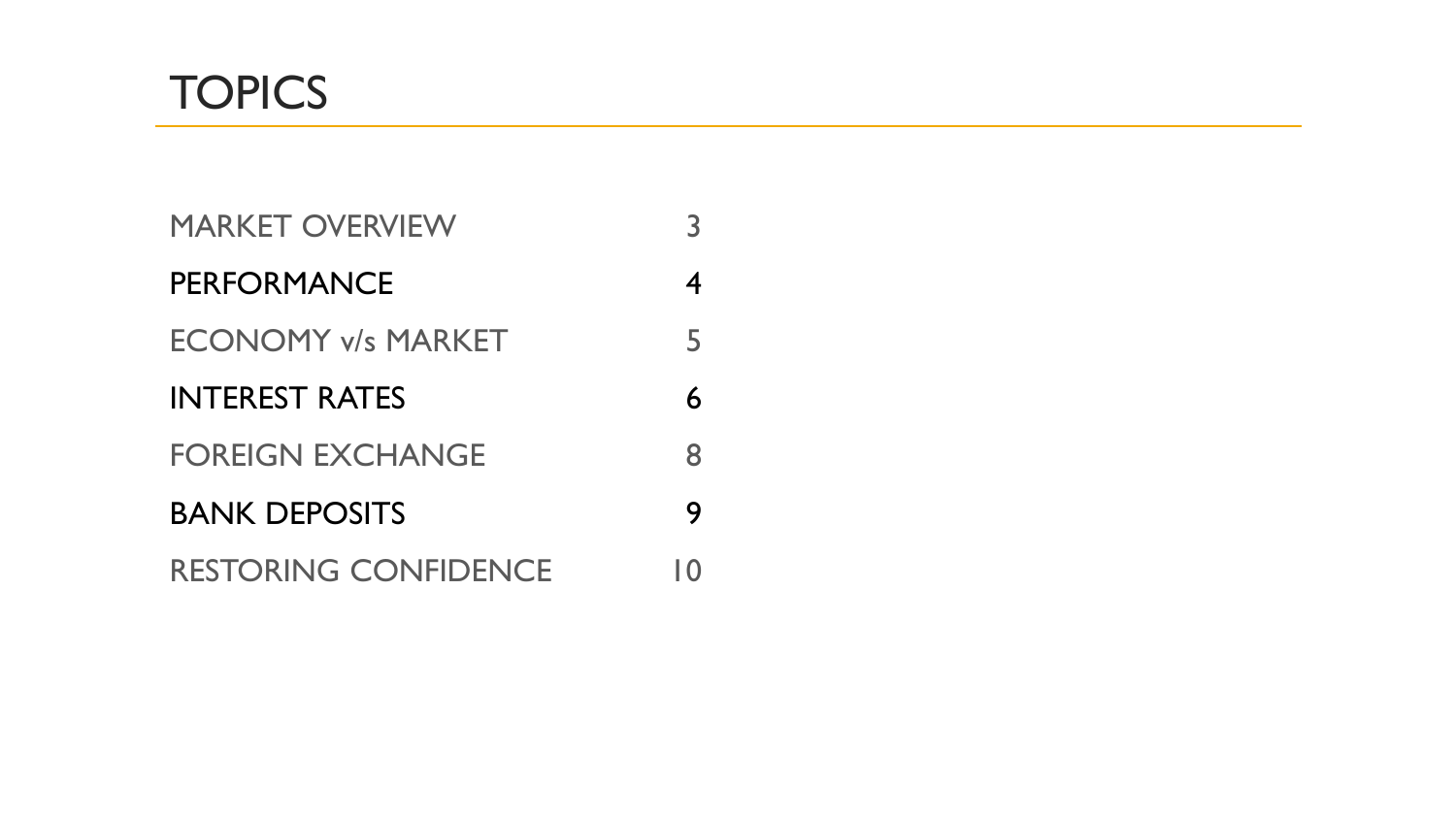

| <b>MARKET OVERVIEW</b>      | 3  |
|-----------------------------|----|
| <b>PERFORMANCE</b>          | 4  |
| <b>ECONOMY v/s MARKET</b>   | 5  |
| <b>INTEREST RATES</b>       | 6  |
| <b>FOREIGN EXCHANGE</b>     | 8  |
| <b>BANK DEPOSITS</b>        | 9  |
| <b>RESTORING CONFIDENCE</b> | 10 |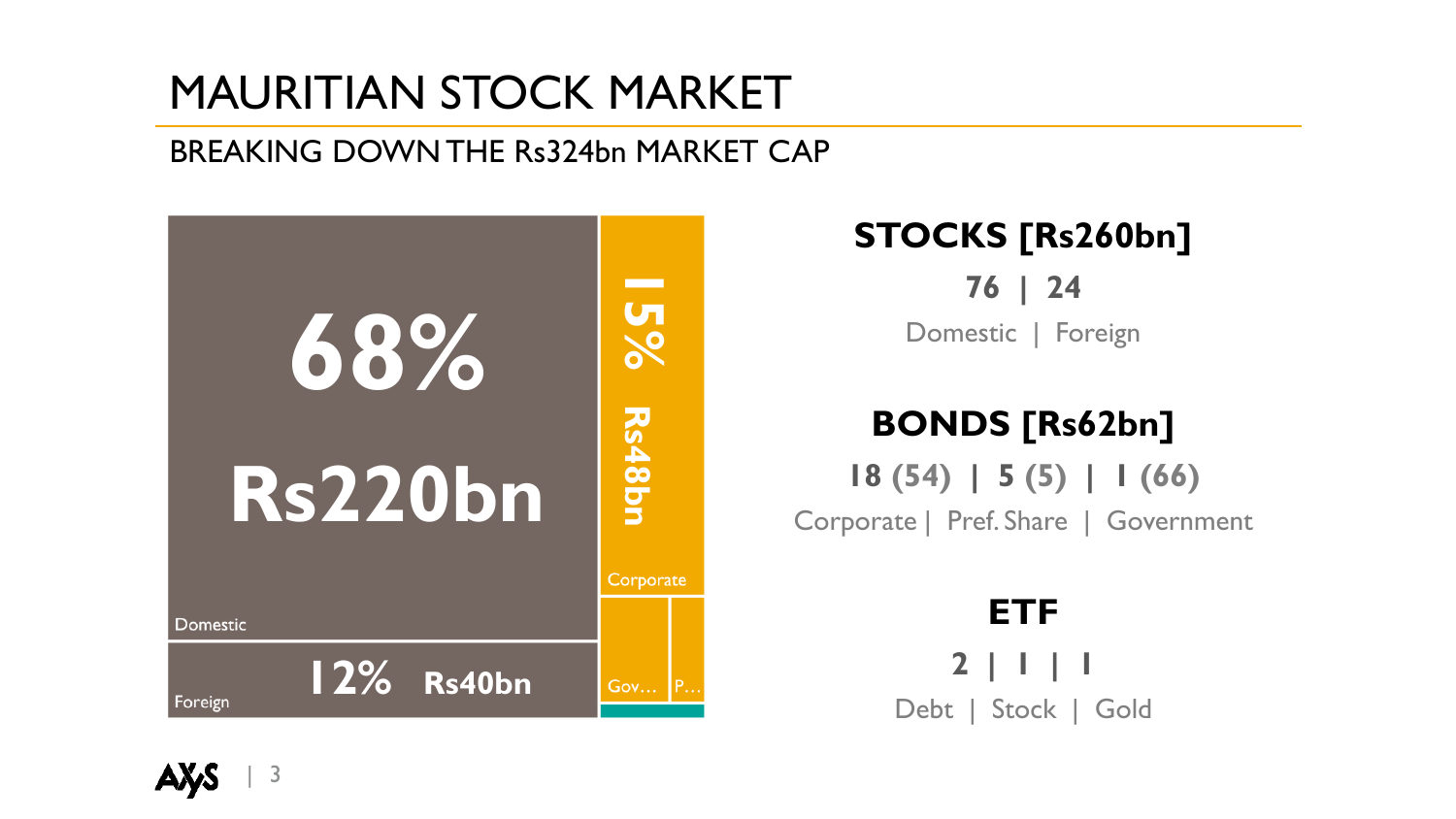# MAURITIAN STOCK MARKET

#### BREAKING DOWN THE Rs324bn MARKET CAP



#### **STOCKS [Rs260bn]**

**76 | 24** Domestic | Foreign

#### **BONDS [Rs62bn]**

**18 (54) | 5 (5) | 1 (66)**  Corporate | Pref. Share | Government

> **ETF 2 | 1 | 1** Debt | Stock | Gold

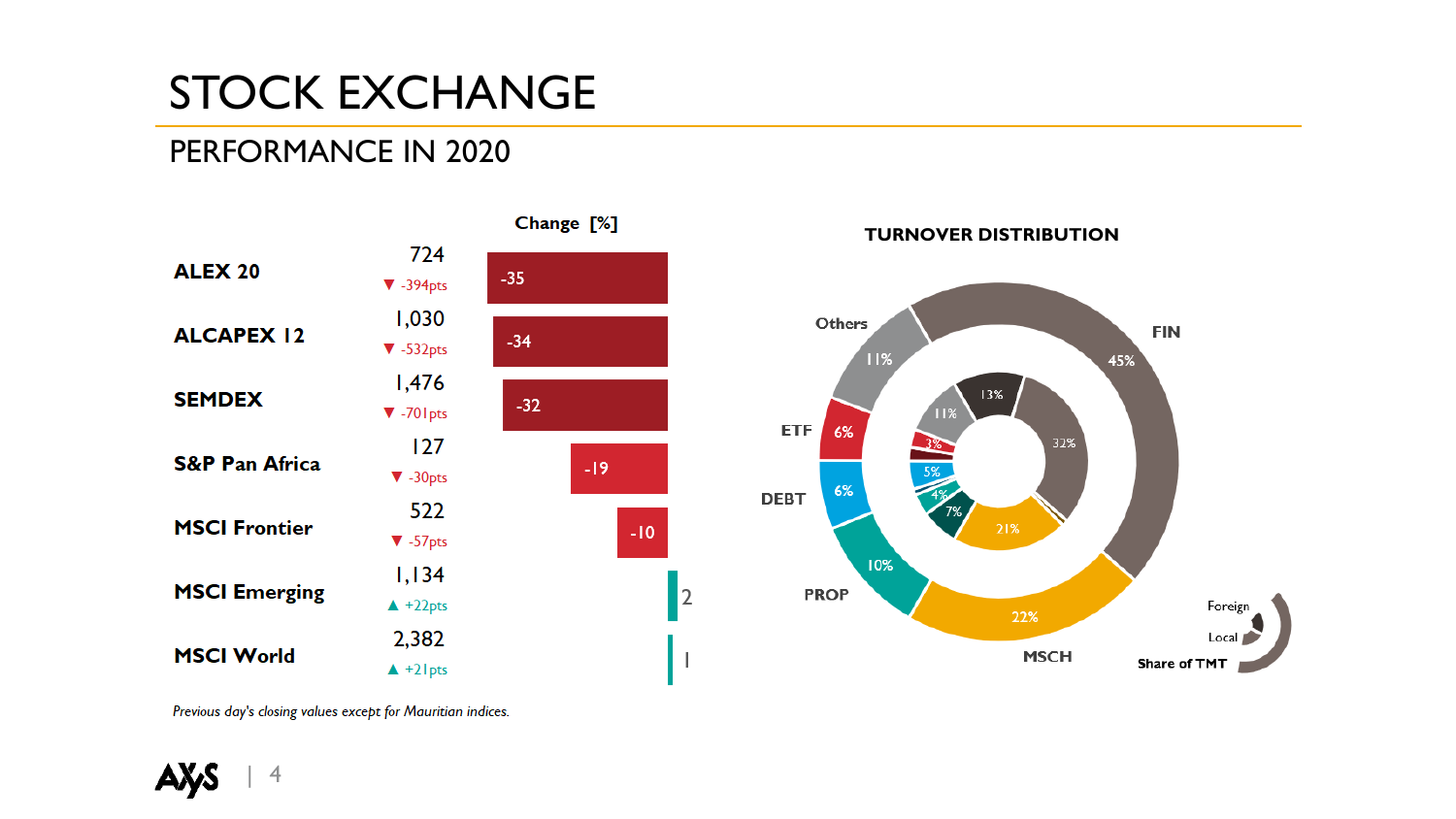# STOCK EXCHANGE

#### PERFORMANCE IN 2020



Previous day's closing values except for Mauritian indices.

 $\overline{4}$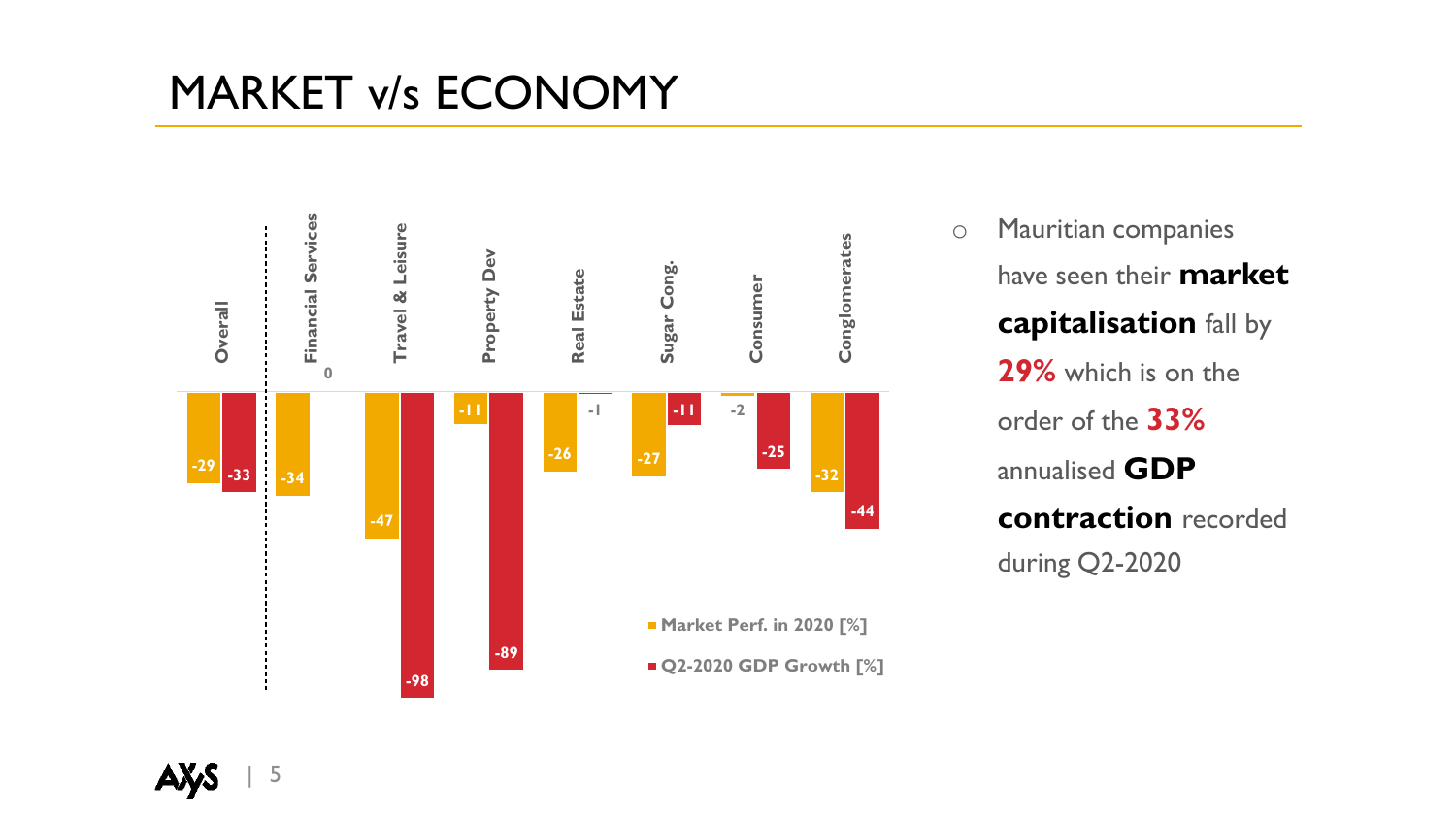#### MARKET v/s ECONOMY



o Mauritian companies have seen their **market capitalisation** fall by **29%** which is on the order of the **33%** annualised **GDP contraction** recorded during Q2-2020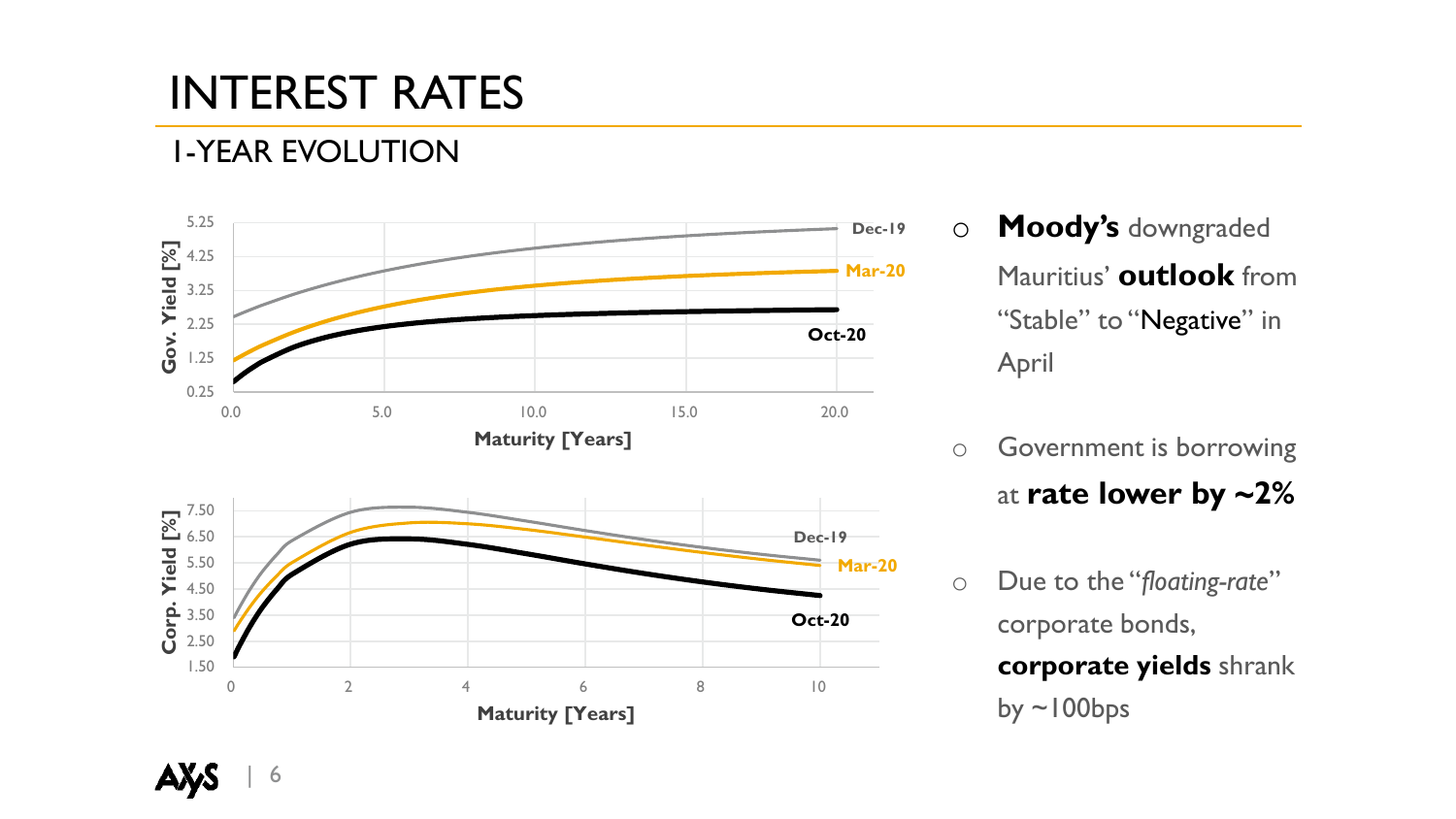# INTEREST RATES

#### 1-YEAR EVOLUTION



- o **Moody's** downgraded Mauritius' **outlook** from "Stable" to "Negative" in April
- o Government is borrowing at **rate lower by ~2%**
- o Due to the "*floating-rate*" corporate bonds, **corporate yields** shrank by  $\sim$ 100bps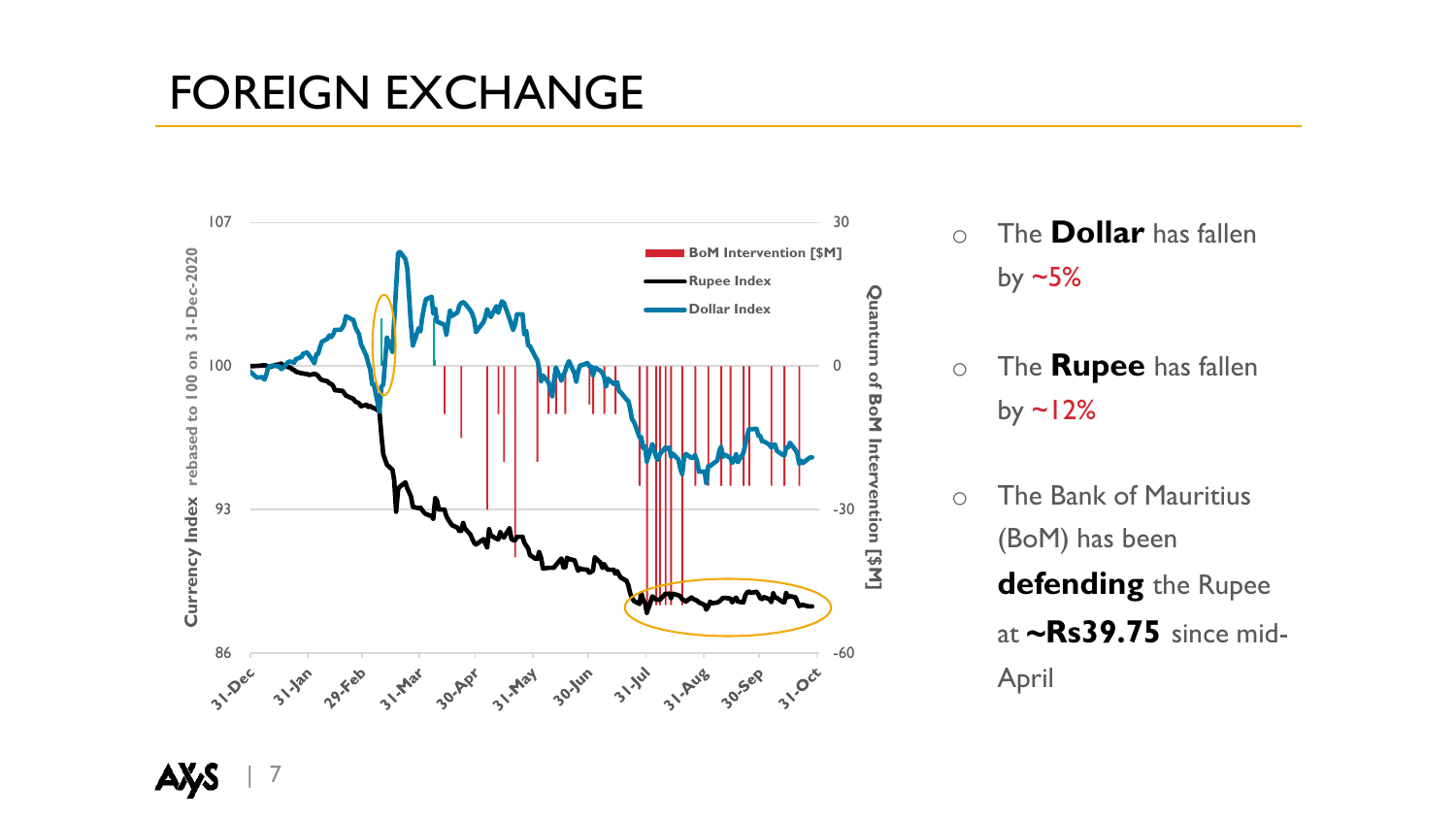### FOREIGN EXCHANGE



- o The **Dollar** has fallen by  $-5%$
- o The **Rupee** has fallen by  $\sim$  12%
- o The Bank of Mauritius (BoM) has been **defending** the Rupee at **~Rs39.75** since mid-April

| 7 АŊ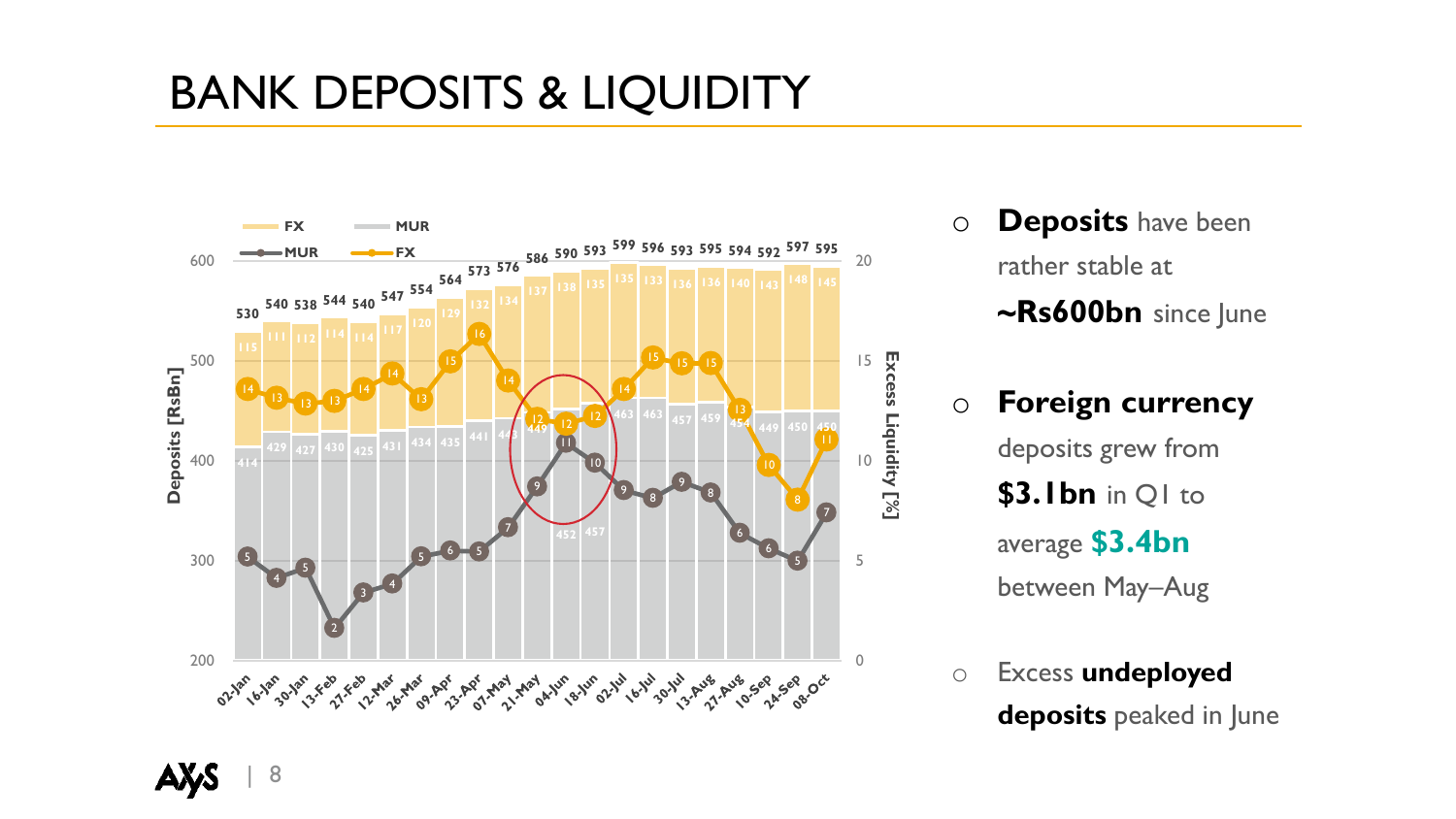## BANK DEPOSITS & LIQUIDITY



- o **Deposits** have been rather stable at **~Rs600bn** since June
- o **Foreign currency**  deposits grew from **\$3.1bn** in Q1 to average **\$3.4bn**  between May–Aug
- o Excess **undeployed deposits** peaked in June

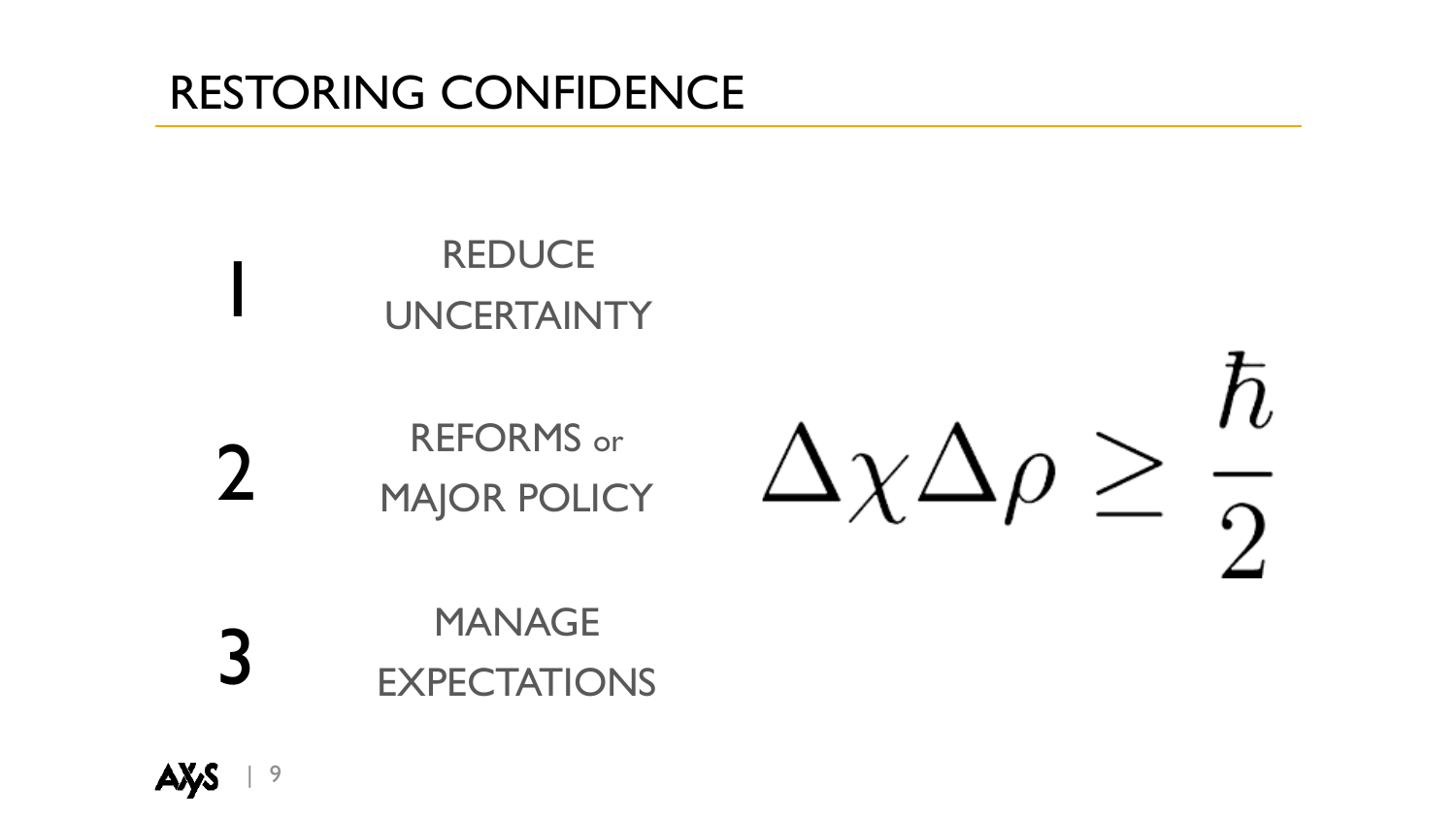## RESTORING CONFIDENCE

# **REDUCE** UNCERTAINTY

2 REFORMS or MAJOR POLICY

 $\hbar$  $\Delta \chi \Delta \rho \geq \frac{R}{2}$ 

3 MANAGE EXPECTATIONS

1